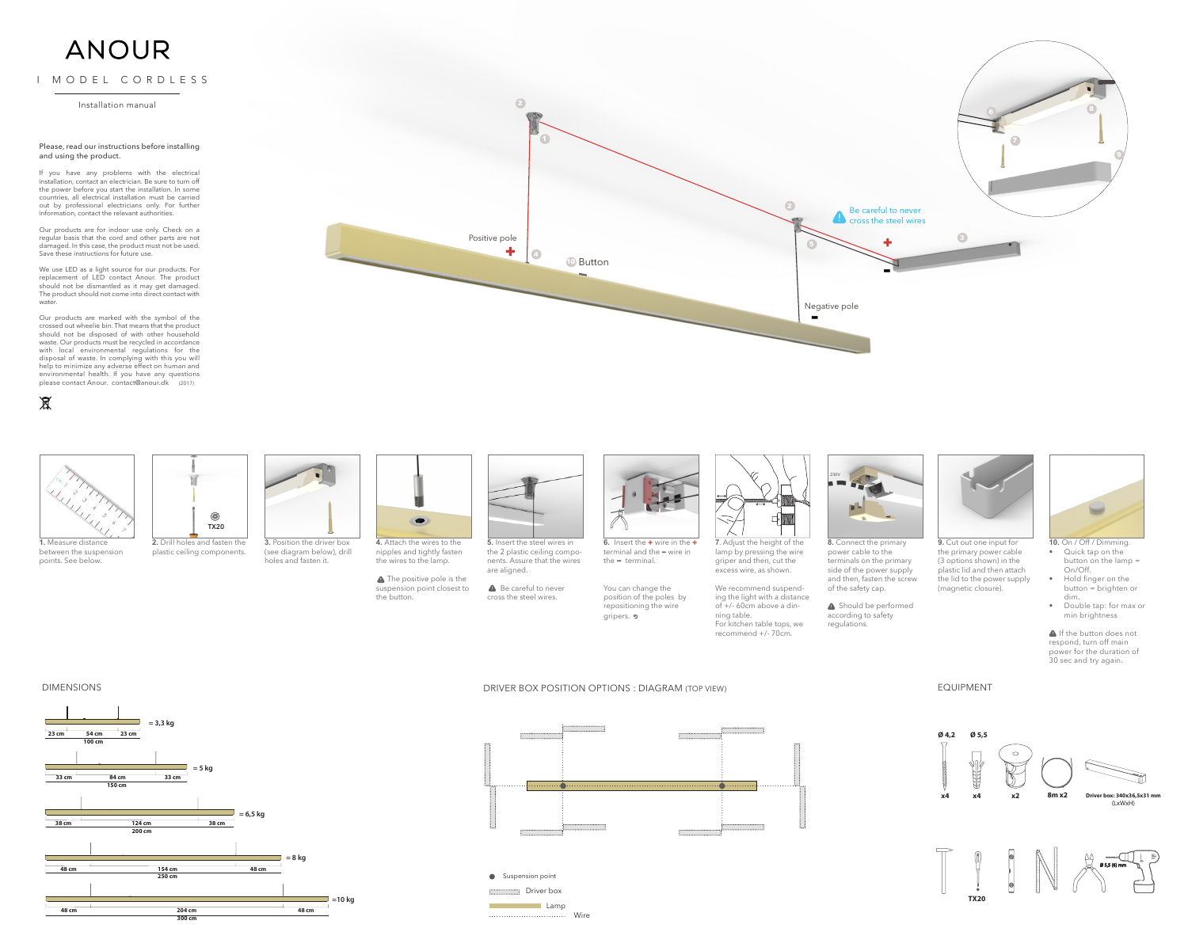+

 $\overline{A}$ 

 $\bullet$ 

DRIVER BOX POSITION OPTIONS : DIAGRAM (TOP VIEW)



**A** Should be performed according to safety regulations.



**A** The positive pole is the suspension point closest to the button.





**1.** Measure distance between the suspension points. See below.

Be careful to never cross the steel wires.



**6.** Insert the  $+$  wire in the  $+$ terminal and the - wire in the  $=$  terminal.

You can change the position of the poles by repositioning the wire gripers. **p** 



**3.** Position the driver box (see diagram below), drill holes and fasten it.



**4.** Attach the wires to the nipples and tightly fasten the wires to the lamp.

**5.** Insert the steel wires in the 2 plastic ceiling components. Assure that the wires are aligned.

**A** If the button does not respond, turn off main power for the duration of 30 sec and try again.







**2.** Drill holes and fasten the plastic ceiling components.



**7**. Adjust the height of the lamp by pressing the wire griper and then, cut the excess wire, as shown.

We recommend suspending the light with a distance

For kitchen table tops, we



**8.** Connect the primary power cable to the terminals on the primary side of the power supply and then, fasten the screw of the safety cap.

of +/- 60cm above a dinning table. recommend +/- 70cm.

**9.** Cut out one input for the primary power cable (3 options shown) in the plastic lid and then attach the lid to the power supply (magnetic closure).



- **10.** On / Off / Dimming. • Quick tap on the button on the lamp = On/Off.
- • Hold finger on the button = brighten or dim.
- • Double tap: for max or min brightness

## DIMENSIONS



### EQUIPMENT



2

**1** Button

# ANOUR

I MODEL CORDLESS

Installation manual

#### Please, read our instructions before installing and using the product.

If you have any problems with the electrical installation, contact an electrician. Be sure to turn off the power before you start the installation. In some countries, all electrical installation must be carried out by professional electricians only. For further information, contact the relevant authorities.

Our products are for indoor use only. Check on a regular basis that the cord and other parts are not damaged. In this case, the product must not be used. Save these instructions for future use.

We use LED as a light source for our products. For replacement of LED contact Anour. The product should not be dismantled as it may get damaged. The product should not come into direct contact with water.

Our products are marked with the symbol of the crossed out wheelie bin. That means that the product should not be disposed of with other household waste. Our products must be recycled in accordance with local environmental regulations for the disposal of waste. In complying with this you will help to minimize any adverse effect on human and environmental health. If you have any questions please contact Anour. contact@anour.dk (2017)